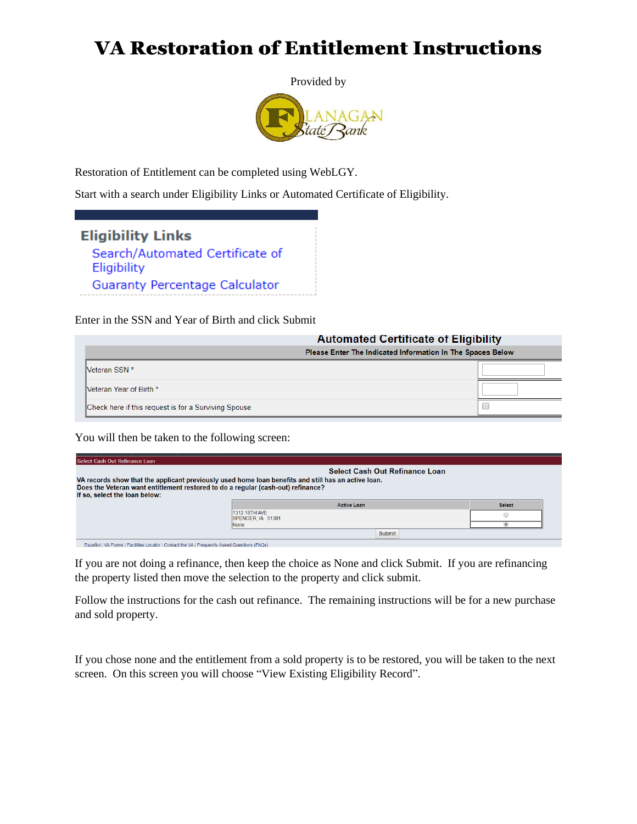## VA Restoration of Entitlement Instructions



Restoration of Entitlement can be completed using WebLGY.

Start with a search under Eligibility Links or Automated Certificate of Eligibility.



Enter in the SSN and Year of Birth and click Submit

| <b>Automated Certificate of Eligibility</b>                |  |  |
|------------------------------------------------------------|--|--|
| Please Enter The Indicated Information In The Spaces Below |  |  |
| <b>Neteran SSN *</b>                                       |  |  |
| <b>Neteran Year of Birth *</b>                             |  |  |
| Check here if this request is for a Surviving Spouse       |  |  |

You will then be taken to the following screen:

| Select Cash Out Refinance Loan                                                                      |                                            |                    |               |  |  |
|-----------------------------------------------------------------------------------------------------|--------------------------------------------|--------------------|---------------|--|--|
|                                                                                                     | <b>Select Cash Out Refinance Loan</b>      |                    |               |  |  |
| VA records show that the applicant previously used home loan benefits and still has an active loan. |                                            |                    |               |  |  |
| Does the Veteran want entitlement restored to do a regular (cash-out) refinance?                    |                                            |                    |               |  |  |
| If so, select the loan below:                                                                       |                                            |                    |               |  |  |
|                                                                                                     |                                            |                    |               |  |  |
|                                                                                                     |                                            | <b>Active Loan</b> | <b>Select</b> |  |  |
|                                                                                                     | 1312 18TH AVE<br><b>ISPENCER. IA 51301</b> |                    |               |  |  |
|                                                                                                     | None                                       |                    |               |  |  |

If you are not doing a refinance, then keep the choice as None and click Submit. If you are refinancing the property listed then move the selection to the property and click submit.

Follow the instructions for the cash out refinance. The remaining instructions will be for a new purchase and sold property.

If you chose none and the entitlement from a sold property is to be restored, you will be taken to the next screen. On this screen you will choose "View Existing Eligibility Record".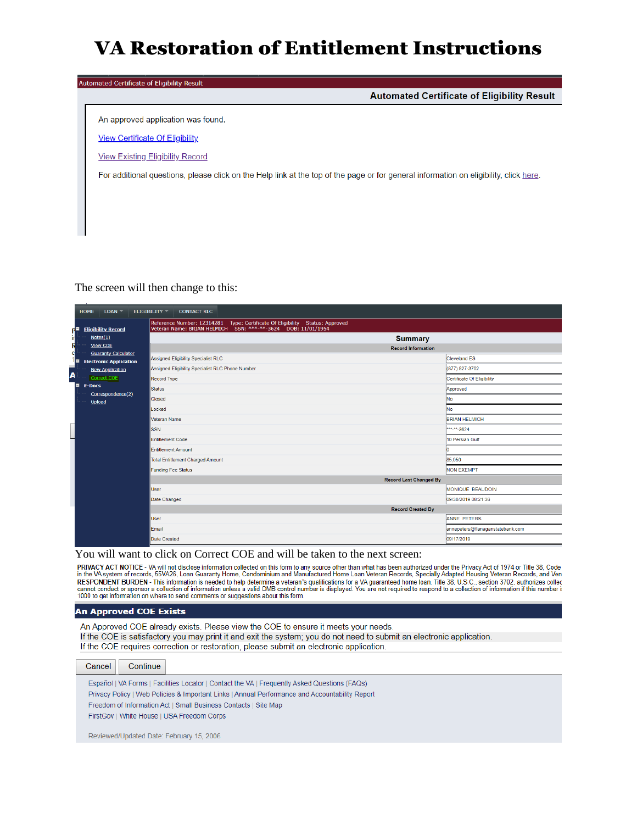## VA Restoration of Entitlement Instructions

| Automated Certificate of Eligibility Result                                                                                           |  |  |  |  |  |  |
|---------------------------------------------------------------------------------------------------------------------------------------|--|--|--|--|--|--|
| <b>Automated Certificate of Eligibility Result</b>                                                                                    |  |  |  |  |  |  |
|                                                                                                                                       |  |  |  |  |  |  |
| An approved application was found.                                                                                                    |  |  |  |  |  |  |
| <b>View Certificate Of Eligibility</b>                                                                                                |  |  |  |  |  |  |
| <b>View Existing Eligibility Record</b>                                                                                               |  |  |  |  |  |  |
| For additional questions, please click on the Help link at the top of the page or for general information on eligibility, click here. |  |  |  |  |  |  |
|                                                                                                                                       |  |  |  |  |  |  |
|                                                                                                                                       |  |  |  |  |  |  |
|                                                                                                                                       |  |  |  |  |  |  |
|                                                                                                                                       |  |  |  |  |  |  |

### The screen will then change to this:

| <b>HOME</b><br>LOAN                                               | ELIGIBILITY -<br><b>CONTACT RLC</b>                                                                                                            |                                  |
|-------------------------------------------------------------------|------------------------------------------------------------------------------------------------------------------------------------------------|----------------------------------|
| <b>Eligibility Record</b><br>ГŦ                                   | Reference Number: 12314281  Type: Certificate Of Eligibility  Status: Approved<br>Veteran Name: BRIAN HELMICH SSN: ***-**-3624 DOB: 11/01/1954 |                                  |
| irl<br>Notes(1)                                                   | <b>Summary</b>                                                                                                                                 |                                  |
| R<br>View COE<br>c                                                | <b>Record Information</b>                                                                                                                      |                                  |
| <b>Guaranty Calculator</b><br>16<br><b>Electronic Application</b> | Assigned Eligibility Specialist RLC                                                                                                            | <b>Cleveland ES</b>              |
| <b>New Application</b>                                            | Assigned Eligibility Specialist RLC Phone Number                                                                                               | (877) 827-3702                   |
| A<br>Correct COE                                                  | <b>Record Type</b>                                                                                                                             | Certificate Of Eligibility       |
| $\blacksquare$<br><b>E-Docs</b>                                   | <b>Status</b>                                                                                                                                  | Approved                         |
| Correspondence(2)<br>Upload                                       | Closed                                                                                                                                         | No                               |
|                                                                   | Locked                                                                                                                                         | <b>No</b>                        |
|                                                                   | <b>Veteran Name</b>                                                                                                                            | <b>BRIAN HELMICH</b>             |
|                                                                   | <b>SSN</b>                                                                                                                                     | *** <sub>**</sub> 3624           |
|                                                                   | <b>Entitlement Code</b>                                                                                                                        | 10 Persian Gulf                  |
|                                                                   | <b>Entitlement Amount</b>                                                                                                                      |                                  |
|                                                                   | <b>Total Entitlement Charged Amount</b>                                                                                                        | 85,050                           |
|                                                                   | <b>Funding Fee Status</b>                                                                                                                      | NON EXEMPT                       |
|                                                                   | <b>Record Last Changed By</b>                                                                                                                  |                                  |
|                                                                   | <b>User</b>                                                                                                                                    | MONIQUE BEAUDOIN                 |
|                                                                   | Date Changed                                                                                                                                   | 09/30/2019 08:21:36              |
|                                                                   | <b>Record Created By</b>                                                                                                                       |                                  |
|                                                                   | <b>User</b>                                                                                                                                    | <b>ANNE PETERS</b>               |
|                                                                   | Email                                                                                                                                          | annepeters@flanaganstatebank.com |
|                                                                   | Date Created                                                                                                                                   | 09/17/2019                       |

You will want to click on Correct COE and will be taken to the next screen:<br>PRIVACY ACT NOTICE - VA will not disclose information collected on this form to any source other than what has been authorized under the Privacy A RESPONDENT BURDEN - This information is needed to help determine a veteran"s qualifications for a VA guaranteed home loan. Title 38, U.S.C., section 3702, authorizes collection of information is needed to help determine a

### **An Approved COE Exists**

An Approved COE already exists. Please view the COE to ensure it meets your needs. If the COE is satisfactory you may print it and exit the system; you do not need to submit an electronic application. If the COE requires correction or restoration, please submit an electronic application.

Cancel Continue Español | VA Forms | Facilities Locator | Contact the VA | Frequently Asked Questions (FAQs) Privacy Policy | Web Policies & Important Links | Annual Performance and Accountability Report Freedom of Information Act | Small Business Contacts | Site Map FirstGov | White House | USA Freedom Corps

Reviewed/Updated Date: February 15, 2006